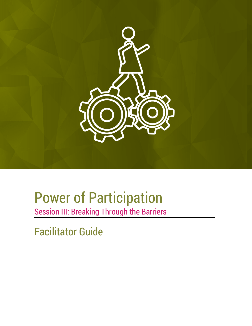

# Power of Participation

Session III: Breaking Through the Barriers

Facilitator Guide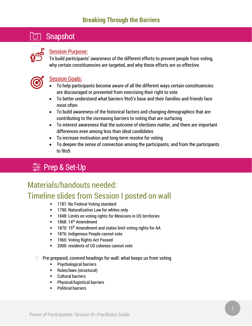## Snapshot



### **Session Purpose:**

To build participants' awareness of the different efforts to prevent people from voting, why certain constituencies are targeted, and why these efforts are so effective.



### Session Goals:

- To help participants become aware of all the different ways certain constituencies are discouraged or prevented from exercising their right to vote
- To better understand what barriers 9to5's base and their families and friends face most often
- To build awareness of the historical factors and changing demographics that are contributing to the increasing barriers to voting that are surfacing
- To interest awareness that the outcome of elections matter, and there are important differences even among less than ideal candidates
- To increase motivation and long-term resolve for voting
- To deepen the sense of connection among the participants, and from the participants to 9to5

## **三 Prep & Set-Up**

## Materials/handouts needed:

## Timeline slides from Session I posted on wall

- **1787: No Federal Voting standard**
- **-** 1790: Naturalization Law for whites only
- 1848: Limits on voting rights for Mexicans in US territories
- $-1868: 14<sup>th</sup>$  Amendment
- **1870: 15<sup>th</sup> Amendment and states limit voting rights for AA**
- **1876: Indigenous People cannot vote**
- **1965: Voting Rights Act Passed**
- **2000: residents of US colonies cannot vote**
- $\Box$  Pre-prepared, covered headings for wall: what keeps us from voting
	- **Psychological barriers**
	- Rules/laws (structural)
	- **-** Cultural barriers
	- **•** Physical/logistical barriers
	- Political barriers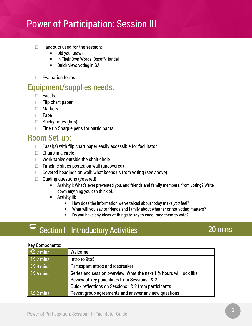- $\Box$  Handouts used for the session:
	- **-** Did you Know?
	- **In Their Own Words: Ossoff/Handel**
	- **•** Quick view: voting in GA
- $\Box$  Evaluation forms

### Equipment/supplies needs:

- Easels
- $\Box$  Flip chart paper
- Markers
- **Tape**
- $\Box$  Sticky notes (lots)
- $\Box$  Fine tip Sharpie pens for participants

### Room Set-up:

- $\Box$  Easel(s) with flip chart paper easily accessible for facilitator
- $\Box$  Chairs in a circle
- $\Box$  Work tables outside the chair circle
- $\Box$  Timeline slides posted on wall (uncovered)
- $\Box$  Covered headings on wall: what keeps us from voting (see above)
- $\Box$  Guiding questions (covered)
	- Activity I: What's ever prevented you, and friends and family members, from voting? Write down anything you can think of.
	- Activity III:
		- **How does the information we've talked about today make you feel?**
		- What will you say to friends and family about whether or not voting matters?
		- Do you have any ideas of things to say to encourage them to vote?

## $\mathcal{F} \equiv$  Section I-Introductory Activities

## 20 mins

#### Key Components:

| $\overline{3}$ 2 mins     | Welcome                                                               |
|---------------------------|-----------------------------------------------------------------------|
| $\overline{\circ}$ 2 mins | Intro to 9to5                                                         |
| $\overline{3}$ 9 mins     | Participant intros and icebreaker                                     |
| $\overline{3}$ 5 mins     | Series and session overview: What the next 1 1/2 hours will look like |
|                           | Review of key punchlines from Sessions I & 2                          |
|                           | Quick reflections on Sessions I & 2 from participants                 |
| $\overline{O}$ 2 mins     | Revisit group agreements and answer any new questions                 |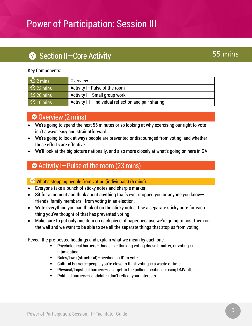## Section II-Core Activity

## 55 mins

#### Key Components:

| $\overline{O}$ 2 mins         | <b>Overview</b>                                      |
|-------------------------------|------------------------------------------------------|
| $\overline{\text{O}}$ 23 mins | Activity I-Pulse of the room                         |
| $\overline{O}$ 20 mins        | Activity II-Small group work                         |
| $\odot$ 10 mins               | Activity III- Individual reflection and pair sharing |

### Overview (2 mins)

- We're going to spend the next 55 minutes or so looking at why exercising our right to vote isn't always easy and straightforward.
- We're going to look at ways people are prevented or discouraged from voting, and whether those efforts are effective.
- We'll look at the big picture nationally, and also more closely at what's going on here in GA

### Activity I—Pulse of the room (23 mins)

### $\heartsuit$  What's stopping people from voting (individuals) (5 mins)

- Everyone take a bunch of sticky notes and sharpie marker.
- Sit for a moment and think about anything that's ever stopped you or anyone you knowfriends, family members—from voting in an election.
- Write everything you can think of on the sticky notes. Use a separate sticky note for each thing you've thought of that has prevented voting
- Make sure to put only one item on each piece of paper because we're going to post them on the wall and we want to be able to see all the separate things that stop us from voting.

Reveal the pre-posted headings and explain what we mean by each one:

- Psychological barriers—things like thinking voting doesn't matter, or voting is intimidating…
- **F** Rules/laws (structural) needing an ID to vote...
- Cultural barriers—people you're close to think voting is a waste of time…
- Physical/logistical barriers—can't get to the polling location, closing DMV offices…
- Political barriers—candidates don't reflect your interests…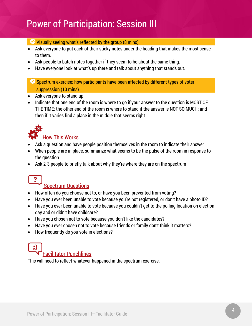#### $\vee$  Visually seeing what's reflected by the group (8 mins)

- Ask everyone to put each of their sticky notes under the heading that makes the most sense to them.
- Ask people to batch notes together if they seem to be about the same thing.
- Have everyone look at what's up there and talk about anything that stands out.

### $\heartsuit$  Spectrum exercise: how participants have been affected by different types of voter suppression (10 mins)

- Ask everyone to stand up
- Indicate that one end of the room is where to go if your answer to the question is MOST OF THE TIME; the other end of the room is where to stand if the answer is NOT SO MUCH; and then if it varies find a place in the middle that seems right



- Ask a question and have people position themselves in the room to indicate their answer
- When people are in place, summarize what seems to be the pulse of the room in response to the question
- Ask 2-3 people to briefly talk about why they're where they are on the spectrum



### Spectrum Questions

- How often do you choose not to, or have you been prevented from voting?
- Have you ever been unable to vote because you're not registered, or don't have a photo ID?
- Have you ever been unable to vote because you couldn't get to the polling location on election day and or didn't have childcare?
- Have you chosen not to vote because you don't like the candidates?
- Have you ever chosen not to vote because friends or family don't think it matters?
- How frequently do you vote in elections?

## Facilitator Punchlines

This will need to reflect whatever happened in the spectrum exercise.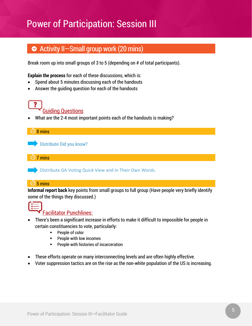## Activity II—Small group work (20 mins)

Break room up into small groups of 3 to 5 (depending on # of total participants).

**Explain the process** for each of these discussions, which is:

- Spend about 5 minutes discussing each of the handouts
- Answer the guiding question for each of the handouts



• What are the 2-4 most important points each of the handouts is making?

| $\overline{\bigcirc}$ 8 mins                                                                                                                     |
|--------------------------------------------------------------------------------------------------------------------------------------------------|
| Distribute Did you know?                                                                                                                         |
|                                                                                                                                                  |
| $\sigma$ 7 mins                                                                                                                                  |
| Distribute GA Voting Quick View and In Their Own Words.                                                                                          |
| $\overline{O}$ 5 mins                                                                                                                            |
| <b>Informal report back</b> key points from small groups to full group (Have people very briefly identify<br>some of the things they discussed.) |



### Facilitator Punchlines:

- There's been a significant increase in efforts to make it difficult to impossible for people in certain constituencies to vote, particularly:
	- **People of color**
	- **People with low incomes**
	- **People with histories of incarceration**
- These efforts operate on many interconnecting levels and are often highly effective.
- Voter suppression tactics are on the rise as the non-white population of the US is increasing.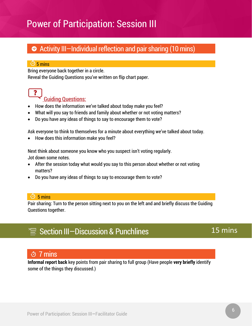## Activity III—Individual reflection and pair sharing (10 mins)

#### $\overline{O}$  5 mins

Bring everyone back together in a circle.

Reveal the Guiding Questions you've written on flip chart paper.

## $\ddot{\mathbf{?}}$

### Guiding Questions:

- How does the information we've talked about today make you feel?
- What will you say to friends and family about whether or not voting matters?
- Do you have any ideas of things to say to encourage them to vote?

Ask everyone to think to themselves for a minute about everything we've talked about today.

• How does this information make you feel?

Next think about someone you know who you suspect isn't voting regularly. Jot down some notes.

- After the session today what would you say to this person about whether or not voting matters?
- Do you have any ideas of things to say to encourage them to vote?

#### $\overline{O}$  5 mins

Pair sharing: Turn to the person sitting next to you on the left and and briefly discuss the Guiding Questions together.

## $\text{S} \equiv$  Section III-Discussion & Punchlines

### 15 mins

### 7 mins

**Informal report back** key points from pair sharing to full group (Have people **very briefly** identify some of the things they discussed.)